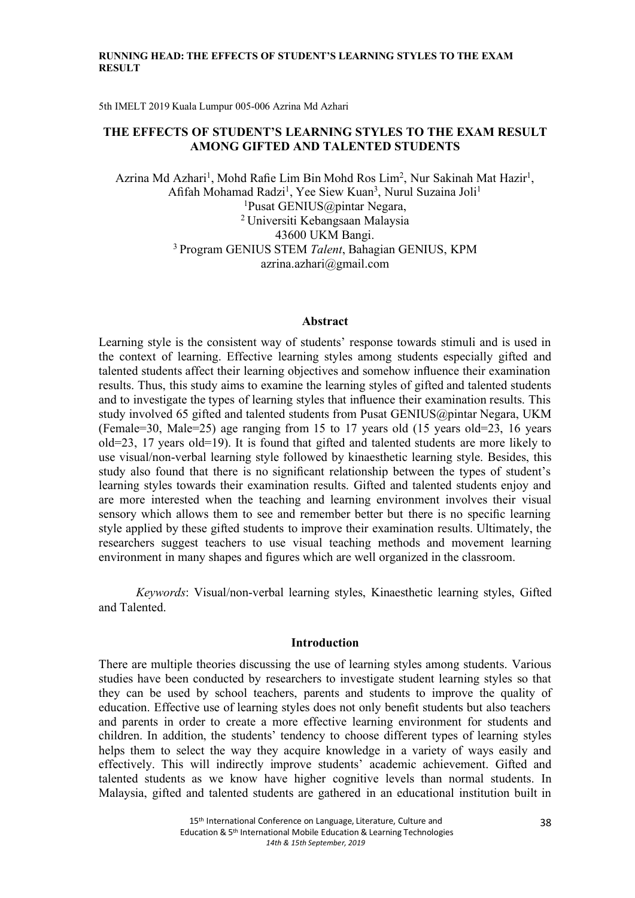#### RUNNING HEAD: THE EFFECTS OF STUDENT'S LEARNING STYLES TO THE EXAM RESULT

5th IMELT 2019 Kuala Lumpur 005-006 Azrina Md Azhari

## THE EFFECTS OF STUDENT'S LEARNING STYLES TO THE EXAM RESULT AMONG GIFTED AND TALENTED STUDENTS

Azrina Md Azhari<sup>1</sup>, Mohd Rafie Lim Bin Mohd Ros Lim<sup>2</sup>, Nur Sakinah Mat Hazir<sup>1</sup>, Afifah Mohamad Radzi<sup>1</sup>, Yee Siew Kuan<sup>3</sup>, Nurul Suzaina Joli<sup>1</sup> <sup>1</sup>Pusat GENIUS@pintar Negara, <sup>2</sup> Universiti Kebangsaan Malaysia 43600 UKM Bangi. <sup>3</sup> Program GENIUS STEM Talent, Bahagian GENIUS, KPM azrina.azhari@gmail.com

### Abstract

Learning style is the consistent way of students' response towards stimuli and is used in the context of learning. Effective learning styles among students especially gifted and talented students affect their learning objectives and somehow infuence their examination results. Thus, this study aims to examine the learning styles of gifted and talented students and to investigate the types of learning styles that infuence their examination results. This study involved 65 gifted and talented students from Pusat GENIUS@pintar Negara, UKM (Female=30, Male=25) age ranging from 15 to 17 years old (15 years old=23, 16 years  $old=23$ , 17 years  $old=19$ ). It is found that gifted and talented students are more likely to use visual/non-verbal learning style followed by kinaesthetic learning style. Besides, this study also found that there is no signifcant relationship between the types of student's learning styles towards their examination results. Gifted and talented students enjoy and are more interested when the teaching and learning environment involves their visual sensory which allows them to see and remember better but there is no specifc learning style applied by these gifted students to improve their examination results. Ultimately, the researchers suggest teachers to use visual teaching methods and movement learning environment in many shapes and fgures which are well organized in the classroom.

Keywords: Visual/non-verbal learning styles, Kinaesthetic learning styles, Gifted and Talented.

#### Introduction

There are multiple theories discussing the use of learning styles among students. Various studies have been conducted by researchers to investigate student learning styles so that they can be used by school teachers, parents and students to improve the quality of education. Effective use of learning styles does not only beneft students but also teachers and parents in order to create a more effective learning environment for students and children. In addition, the students' tendency to choose different types of learning styles helps them to select the way they acquire knowledge in a variety of ways easily and effectively. This will indirectly improve students' academic achievement. Gifted and talented students as we know have higher cognitive levels than normal students. In Malaysia, gifted and talented students are gathered in an educational institution built in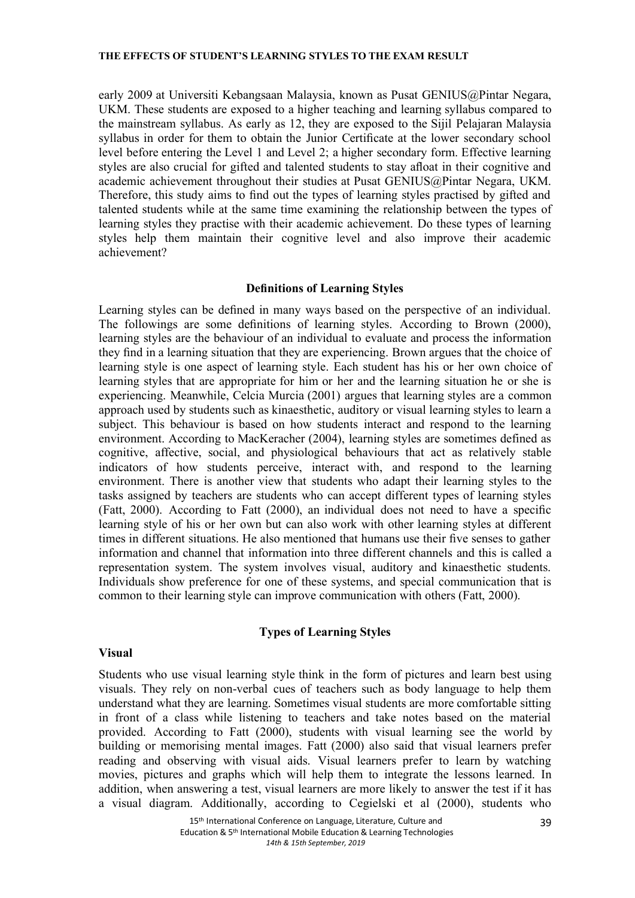#### THE EFFECTS OF STUDENT'S LEARNING STYLES TO THE EXAM RESULT

early 2009 at Universiti Kebangsaan Malaysia, known as Pusat GENIUS@Pintar Negara, UKM. These students are exposed to a higher teaching and learning syllabus compared to the mainstream syllabus. As early as 12, they are exposed to the Sijil Pelajaran Malaysia syllabus in order for them to obtain the Junior Certifcate at the lower secondary school level before entering the Level 1 and Level 2; a higher secondary form. Effective learning styles are also crucial for gifted and talented students to stay afoat in their cognitive and academic achievement throughout their studies at Pusat GENIUS@Pintar Negara, UKM. Therefore, this study aims to fnd out the types of learning styles practised by gifted and talented students while at the same time examining the relationship between the types of learning styles they practise with their academic achievement. Do these types of learning styles help them maintain their cognitive level and also improve their academic achievement?

## Defnitions of Learning Styles

Learning styles can be defned in many ways based on the perspective of an individual. The followings are some defnitions of learning styles. According to Brown (2000), learning styles are the behaviour of an individual to evaluate and process the information they fnd in a learning situation that they are experiencing. Brown argues that the choice of learning style is one aspect of learning style. Each student has his or her own choice of learning styles that are appropriate for him or her and the learning situation he or she is experiencing. Meanwhile, Celcia Murcia (2001) argues that learning styles are a common approach used by students such as kinaesthetic, auditory or visual learning styles to learn a subject. This behaviour is based on how students interact and respond to the learning environment. According to MacKeracher (2004), learning styles are sometimes defined as cognitive, affective, social, and physiological behaviours that act as relatively stable indicators of how students perceive, interact with, and respond to the learning environment. There is another view that students who adapt their learning styles to the tasks assigned by teachers are students who can accept different types of learning styles (Fatt, 2000). According to Fatt (2000), an individual does not need to have a specifc learning style of his or her own but can also work with other learning styles at different times in different situations. He also mentioned that humans use their fve senses to gather information and channel that information into three different channels and this is called a representation system. The system involves visual, auditory and kinaesthetic students. Individuals show preference for one of these systems, and special communication that is common to their learning style can improve communication with others (Fatt, 2000).

# Types of Learning Styles

## Visual

Students who use visual learning style think in the form of pictures and learn best using visuals. They rely on non-verbal cues of teachers such as body language to help them understand what they are learning. Sometimes visual students are more comfortable sitting in front of a class while listening to teachers and take notes based on the material provided. According to Fatt (2000), students with visual learning see the world by building or memorising mental images. Fatt (2000) also said that visual learners prefer reading and observing with visual aids. Visual learners prefer to learn by watching movies, pictures and graphs which will help them to integrate the lessons learned. In addition, when answering a test, visual learners are more likely to answer the test if it has a visual diagram. Additionally, according to Cegielski et al (2000), students who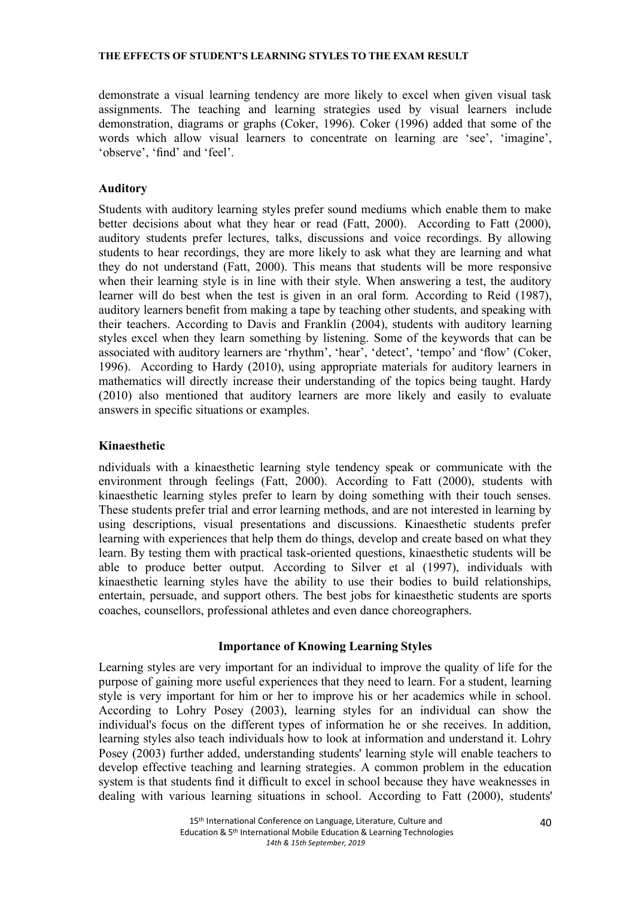demonstrate a visual learning tendency are more likely to excel when given visual task assignments. The teaching and learning strategies used by visual learners include demonstration, diagrams or graphs (Coker, 1996). Coker (1996) added that some of the words which allow visual learners to concentrate on learning are 'see', 'imagine', 'observe', 'fnd' and 'feel'.

# Auditory

Students with auditory learning styles prefer sound mediums which enable them to make better decisions about what they hear or read (Fatt, 2000). According to Fatt (2000), auditory students prefer lectures, talks, discussions and voice recordings. By allowing students to hear recordings, they are more likely to ask what they are learning and what they do not understand (Fatt, 2000). This means that students will be more responsive when their learning style is in line with their style. When answering a test, the auditory learner will do best when the test is given in an oral form. According to Reid (1987), auditory learners beneft from making a tape by teaching other students, and speaking with their teachers. According to Davis and Franklin (2004), students with auditory learning styles excel when they learn something by listening. Some of the keywords that can be associated with auditory learners are 'rhythm', 'hear', 'detect', 'tempo' and 'fow' (Coker, 1996). According to Hardy (2010), using appropriate materials for auditory learners in mathematics will directly increase their understanding of the topics being taught. Hardy (2010) also mentioned that auditory learners are more likely and easily to evaluate answers in specifc situations or examples.

## Kinaesthetic

ndividuals with a kinaesthetic learning style tendency speak or communicate with the environment through feelings (Fatt, 2000). According to Fatt (2000), students with kinaesthetic learning styles prefer to learn by doing something with their touch senses. These students prefer trial and error learning methods, and are not interested in learning by using descriptions, visual presentations and discussions. Kinaesthetic students prefer learning with experiences that help them do things, develop and create based on what they learn. By testing them with practical task-oriented questions, kinaesthetic students will be able to produce better output. According to Silver et al (1997), individuals with kinaesthetic learning styles have the ability to use their bodies to build relationships, entertain, persuade, and support others. The best jobs for kinaesthetic students are sports coaches, counsellors, professional athletes and even dance choreographers.

## Importance of Knowing Learning Styles

Learning styles are very important for an individual to improve the quality of life for the purpose of gaining more useful experiences that they need to learn. For a student, learning style is very important for him or her to improve his or her academics while in school. According to Lohry Posey (2003), learning styles for an individual can show the individual's focus on the different types of information he or she receives. In addition, learning styles also teach individuals how to look at information and understand it. Lohry Posey (2003) further added, understanding students' learning style will enable teachers to develop effective teaching and learning strategies. A common problem in the education system is that students find it difficult to excel in school because they have weaknesses in dealing with various learning situations in school. According to Fatt (2000), students'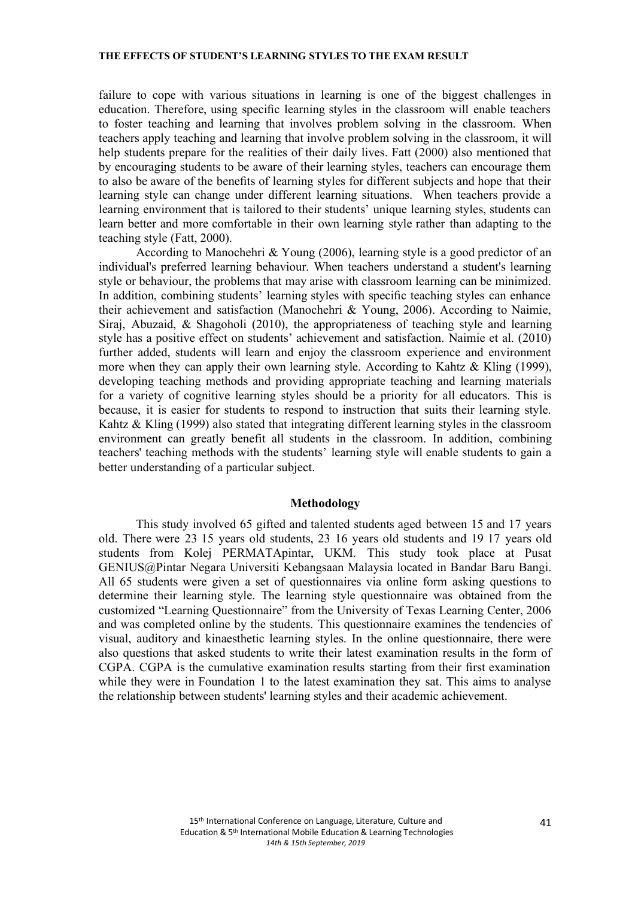failure to cope with various situations in learning is one of the biggest challenges in education. Therefore, using specifc learning styles in the classroom will enable teachers to foster teaching and learning that involves problem solving in the classroom. When teachers apply teaching and learning that involve problem solving in the classroom, it will help students prepare for the realities of their daily lives. Fatt (2000) also mentioned that by encouraging students to be aware of their learning styles, teachers can encourage them to also be aware of the benefts of learning styles for different subjects and hope that their learning style can change under different learning situations. When teachers provide a learning environment that is tailored to their students' unique learning styles, students can learn better and more comfortable in their own learning style rather than adapting to the teaching style (Fatt, 2000).

According to Manochehri & Young (2006), learning style is a good predictor of an individual's preferred learning behaviour. When teachers understand a student's learning style or behaviour, the problems that may arise with classroom learning can be minimized. In addition, combining students' learning styles with specifc teaching styles can enhance their achievement and satisfaction (Manochehri & Young, 2006). According to Naimie, Siraj, Abuzaid, & Shagoholi (2010), the appropriateness of teaching style and learning style has a positive effect on students' achievement and satisfaction. Naimie et al. (2010) further added, students will learn and enjoy the classroom experience and environment more when they can apply their own learning style. According to Kahtz & Kling (1999), developing teaching methods and providing appropriate teaching and learning materials for a variety of cognitive learning styles should be a priority for all educators. This is because, it is easier for students to respond to instruction that suits their learning style. Kahtz & Kling (1999) also stated that integrating different learning styles in the classroom environment can greatly benefit all students in the classroom. In addition, combining teachers' teaching methods with the students' learning style will enable students to gain a better understanding of a particular subject.

#### Methodology

This study involved 65 gifted and talented students aged between 15 and 17 years old. There were 23 15 years old students, 23 16 years old students and 19 17 years old students from Kolej PERMATApintar, UKM. This study took place at Pusat GENIUS@Pintar Negara Universiti Kebangsaan Malaysia located in Bandar Baru Bangi. All 65 students were given a set of questionnaires via online form asking questions to determine their learning style. The learning style questionnaire was obtained from the customized "Learning Questionnaire" from the University of Texas Learning Center, 2006 and was completed online by the students. This questionnaire examines the tendencies of visual, auditory and kinaesthetic learning styles. In the online questionnaire, there were also questions that asked students to write their latest examination results in the form of CGPA. CGPA is the cumulative examination results starting from their frst examination while they were in Foundation 1 to the latest examination they sat. This aims to analyse the relationship between students' learning styles and their academic achievement.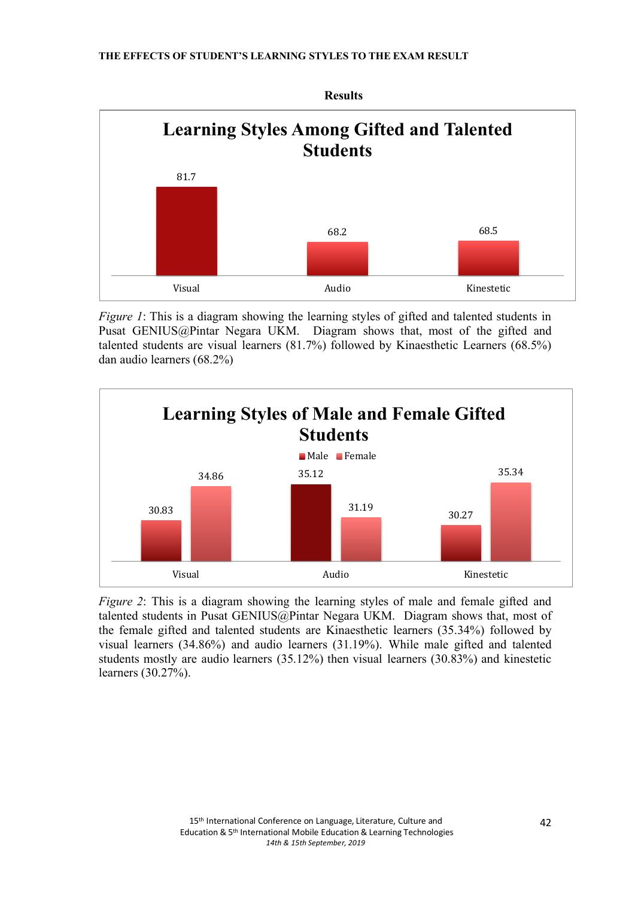

Figure 1: This is a diagram showing the learning styles of gifted and talented students in Pusat GENIUS@Pintar Negara UKM. Diagram shows that, most of the gifted and talented students are visual learners (81.7%) followed by Kinaesthetic Learners (68.5%) dan audio learners (68.2%)



Figure 2: This is a diagram showing the learning styles of male and female gifted and talented students in Pusat GENIUS@Pintar Negara UKM. Diagram shows that, most of the female gifted and talented students are Kinaesthetic learners (35.34%) followed by visual learners (34.86%) and audio learners (31.19%). While male gifted and talented students mostly are audio learners (35.12%) then visual learners (30.83%) and kinestetic learners (30.27%).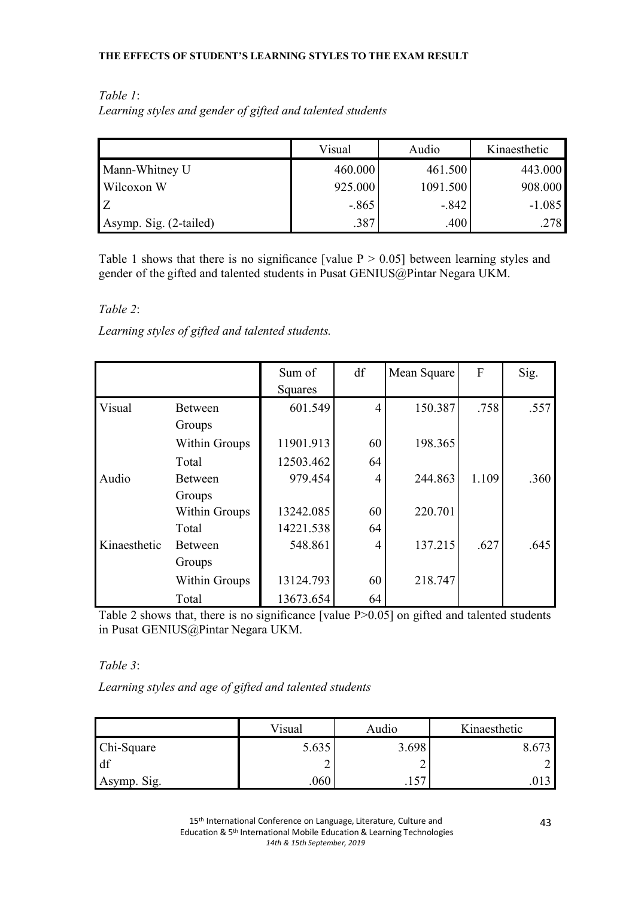## THE EFFECTS OF STUDENT'S LEARNING STYLES TO THE EXAM RESULT

| Table 1:                                                   |  |
|------------------------------------------------------------|--|
| Learning styles and gender of gifted and talented students |  |

|                        | Visual   | Audio    | Kinaesthetic |
|------------------------|----------|----------|--------------|
| Mann-Whitney U         | 460.000  | 461.500  | 443.000      |
| Wilcoxon W             | 925.000  | 1091.500 | 908.000      |
|                        | $-0.865$ | $-842$   | $-1.085$     |
| Asymp. Sig. (2-tailed) | .387     | .400     | .278         |

Table 1 shows that there is no significance [value  $P > 0.05$ ] between learning styles and gender of the gifted and talented students in Pusat GENIUS@Pintar Negara UKM.

Table 2:

Learning styles of gifted and talented students.

|              |                | Sum of<br>Squares | df             | Mean Square | $\mathbf{F}$ | Sig. |
|--------------|----------------|-------------------|----------------|-------------|--------------|------|
| Visual       | <b>Between</b> | 601.549           | $\overline{4}$ | 150.387     | .758         | .557 |
|              | Groups         |                   |                |             |              |      |
|              | Within Groups  | 11901.913         | 60             | 198.365     |              |      |
|              | Total          | 12503.462         | 64             |             |              |      |
| Audio        | <b>Between</b> | 979.454           | $\overline{4}$ | 244.863     | 1.109        | .360 |
|              | Groups         |                   |                |             |              |      |
|              | Within Groups  | 13242.085         | 60             | 220.701     |              |      |
|              | Total          | 14221.538         | 64             |             |              |      |
| Kinaesthetic | <b>Between</b> | 548.861           | 4              | 137.215     | .627         | .645 |
|              | Groups         |                   |                |             |              |      |
|              | Within Groups  | 13124.793         | 60             | 218.747     |              |      |
|              | Total          | 13673.654         | 64             |             |              |      |

Table 2 shows that, there is no significance [value P>0.05] on gifted and talented students in Pusat GENIUS@Pintar Negara UKM.

Table 3:

Learning styles and age of gifted and talented students

|             | Visual | Audio | Kinaesthetic |
|-------------|--------|-------|--------------|
| Chi-Square  | 5.635  | 3.698 | 6.673        |
| df          |        |       |              |
| Asymp. Sig. | .060   | . 1 J |              |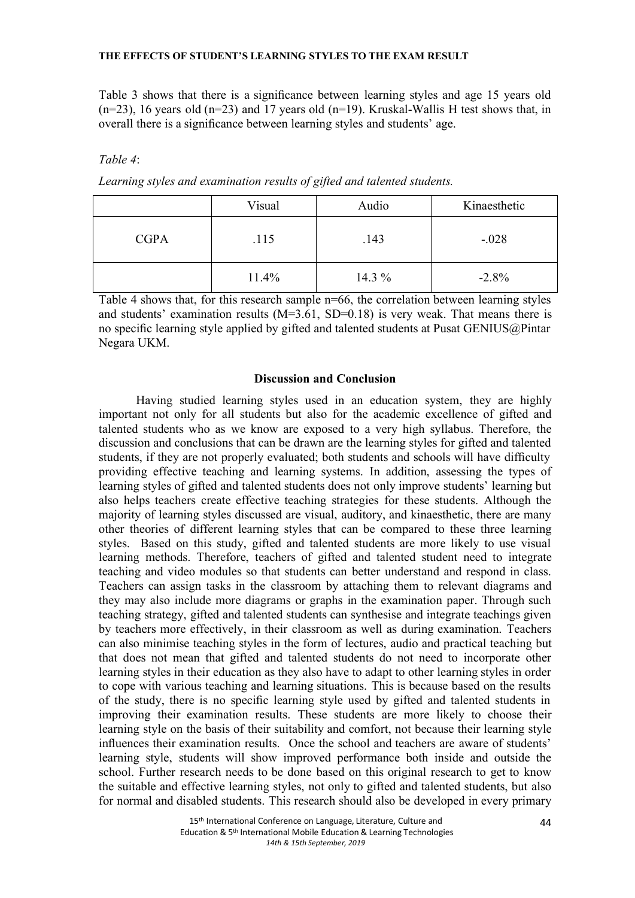Table 3 shows that there is a signifcance between learning styles and age 15 years old (n=23), 16 years old (n=23) and 17 years old (n=19). Kruskal-Wallis H test shows that, in overall there is a signifcance between learning styles and students' age.

# Table 4:

Learning styles and examination results of gifted and talented students.

|             | Visual | Audio    | Kinaesthetic |
|-------------|--------|----------|--------------|
| <b>CGPA</b> | .115   | .143     | $-.028$      |
|             | 11.4%  | 14.3 $%$ | $-2.8%$      |

Table 4 shows that, for this research sample n=66, the correlation between learning styles and students' examination results  $(M=3.61, SD=0.18)$  is very weak. That means there is no specifc learning style applied by gifted and talented students at Pusat GENIUS@Pintar Negara UKM.

# Discussion and Conclusion

Having studied learning styles used in an education system, they are highly important not only for all students but also for the academic excellence of gifted and talented students who as we know are exposed to a very high syllabus. Therefore, the discussion and conclusions that can be drawn are the learning styles for gifted and talented students, if they are not properly evaluated; both students and schools will have diffculty providing effective teaching and learning systems. In addition, assessing the types of learning styles of gifted and talented students does not only improve students' learning but also helps teachers create effective teaching strategies for these students. Although the majority of learning styles discussed are visual, auditory, and kinaesthetic, there are many other theories of different learning styles that can be compared to these three learning styles. Based on this study, gifted and talented students are more likely to use visual learning methods. Therefore, teachers of gifted and talented student need to integrate teaching and video modules so that students can better understand and respond in class. Teachers can assign tasks in the classroom by attaching them to relevant diagrams and they may also include more diagrams or graphs in the examination paper. Through such teaching strategy, gifted and talented students can synthesise and integrate teachings given by teachers more effectively, in their classroom as well as during examination. Teachers can also minimise teaching styles in the form of lectures, audio and practical teaching but that does not mean that gifted and talented students do not need to incorporate other learning styles in their education as they also have to adapt to other learning styles in order to cope with various teaching and learning situations. This is because based on the results of the study, there is no specifc learning style used by gifted and talented students in improving their examination results. These students are more likely to choose their learning style on the basis of their suitability and comfort, not because their learning style infuences their examination results. Once the school and teachers are aware of students' learning style, students will show improved performance both inside and outside the school. Further research needs to be done based on this original research to get to know the suitable and effective learning styles, not only to gifted and talented students, but also for normal and disabled students. This research should also be developed in every primary